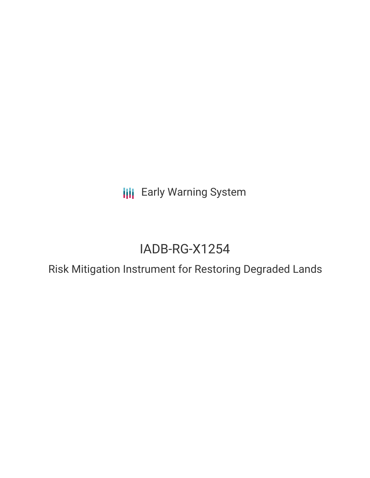**III** Early Warning System

# IADB-RG-X1254

Risk Mitigation Instrument for Restoring Degraded Lands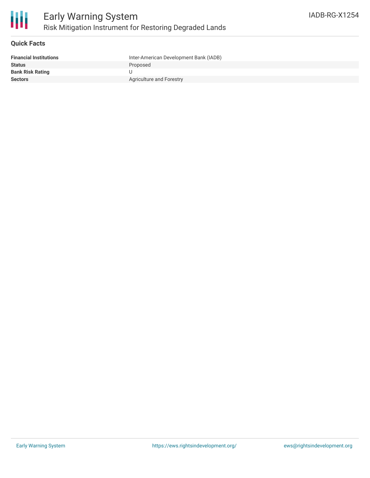

## **Quick Facts**

| <b>Financial Institutions</b> | Inter-American Development Bank (IADB) |
|-------------------------------|----------------------------------------|
| <b>Status</b>                 | Proposed                               |
| <b>Bank Risk Rating</b>       |                                        |
| <b>Sectors</b>                | Agriculture and Forestry               |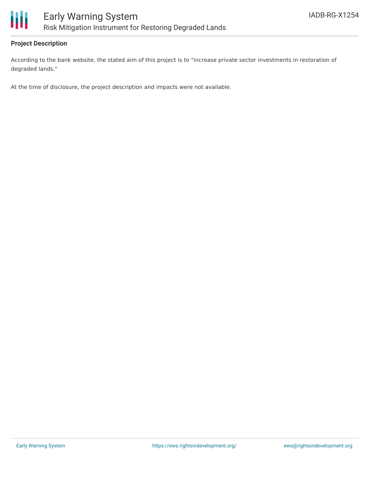



## **Project Description**

According to the bank website, the stated aim of this project is to "increase private sector investments in restoration of degraded lands."

At the time of disclosure, the project description and impacts were not available.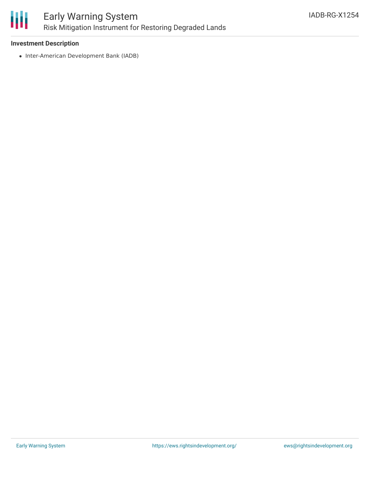

#### **Investment Description**

• Inter-American Development Bank (IADB)